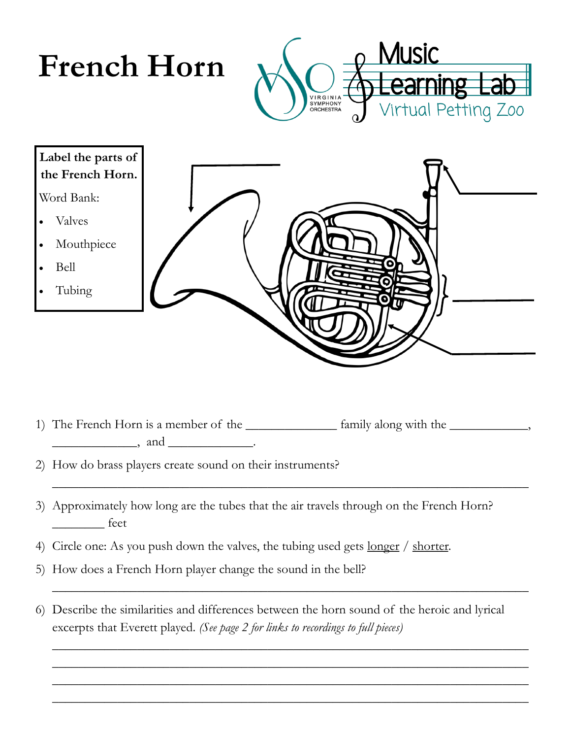

1) The French Horn is a member of the \_\_\_\_\_\_\_\_\_\_\_\_\_\_ family along with the \_\_\_\_\_\_\_\_\_\_\_\_,  $\qquad \qquad$  and  $\qquad \qquad$ 

\_\_\_\_\_\_\_\_\_\_\_\_\_\_\_\_\_\_\_\_\_\_\_\_\_\_\_\_\_\_\_\_\_\_\_\_\_\_\_\_\_\_\_\_\_\_\_\_\_\_\_\_\_\_\_\_\_\_\_\_\_\_\_\_\_\_\_\_\_\_\_\_\_

\_\_\_\_\_\_\_\_\_\_\_\_\_\_\_\_\_\_\_\_\_\_\_\_\_\_\_\_\_\_\_\_\_\_\_\_\_\_\_\_\_\_\_\_\_\_\_\_\_\_\_\_\_\_\_\_\_\_\_\_\_\_\_\_\_\_\_\_\_\_\_\_\_

\_\_\_\_\_\_\_\_\_\_\_\_\_\_\_\_\_\_\_\_\_\_\_\_\_\_\_\_\_\_\_\_\_\_\_\_\_\_\_\_\_\_\_\_\_\_\_\_\_\_\_\_\_\_\_\_\_\_\_\_\_\_\_\_\_\_\_\_\_\_\_\_\_ \_\_\_\_\_\_\_\_\_\_\_\_\_\_\_\_\_\_\_\_\_\_\_\_\_\_\_\_\_\_\_\_\_\_\_\_\_\_\_\_\_\_\_\_\_\_\_\_\_\_\_\_\_\_\_\_\_\_\_\_\_\_\_\_\_\_\_\_\_\_\_\_\_ \_\_\_\_\_\_\_\_\_\_\_\_\_\_\_\_\_\_\_\_\_\_\_\_\_\_\_\_\_\_\_\_\_\_\_\_\_\_\_\_\_\_\_\_\_\_\_\_\_\_\_\_\_\_\_\_\_\_\_\_\_\_\_\_\_\_\_\_\_\_\_\_\_ \_\_\_\_\_\_\_\_\_\_\_\_\_\_\_\_\_\_\_\_\_\_\_\_\_\_\_\_\_\_\_\_\_\_\_\_\_\_\_\_\_\_\_\_\_\_\_\_\_\_\_\_\_\_\_\_\_\_\_\_\_\_\_\_\_\_\_\_\_\_\_\_\_

- 2) How do brass players create sound on their instruments?
- 3) Approximately how long are the tubes that the air travels through on the French Horn? \_\_\_\_\_\_\_\_ feet
- 4) Circle one: As you push down the valves, the tubing used gets <u>longer / shorter</u>.
- 5) How does a French Horn player change the sound in the bell?
- 6) Describe the similarities and differences between the horn sound of the heroic and lyrical excerpts that Everett played. *(See page 2 for links to recordings to full pieces)*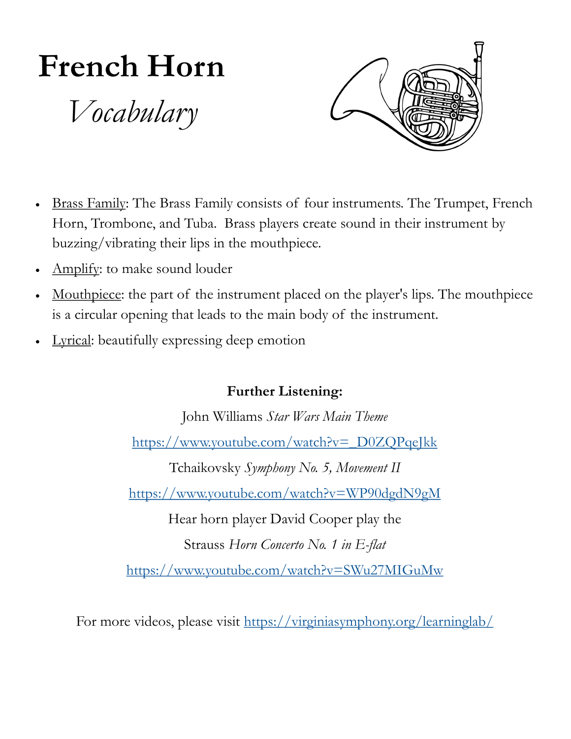## **French Horn**

*Vocabulary*



- Brass Family: The Brass Family consists of four instruments. The Trumpet, French Horn, Trombone, and Tuba. Brass players create sound in their instrument by buzzing/vibrating their lips in the mouthpiece.
- Amplify: to make sound louder
- Mouthpiece: the part of the instrument placed on the player's lips. The mouthpiece is a circular opening that leads to the main body of the instrument.
- Lyrical: beautifully expressing deep emotion

## **Further Listening:**

John Williams *Star Wars Main Theme* [https://www.youtube.com/watch?v=\\_D0ZQPqeJkk](https://www.youtube.com/watch?v=_D0ZQPqeJkk) Tchaikovsky *Symphony No. 5, Movement II*

<https://www.youtube.com/watch?v=WP90dgdN9gM>

Hear horn player David Cooper play the

Strauss *Horn Concerto No. 1 in E-flat*

<https://www.youtube.com/watch?v=SWu27MIGuMw>

For more videos, please visit <https://virginiasymphony.org/learninglab/>